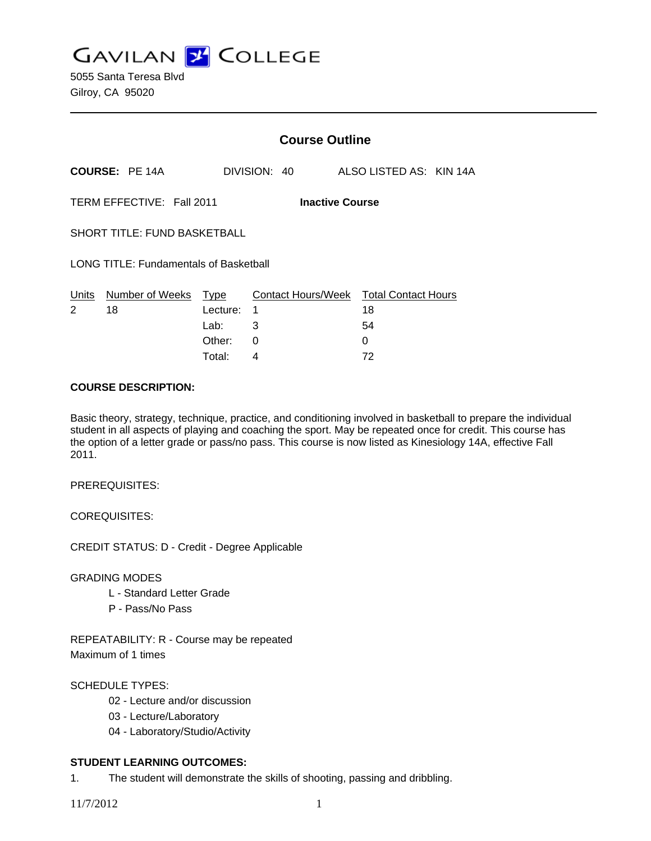**GAVILAN J COLLEGE** 

|                                                     |                       | <b>Course Outline</b> |              |                                        |                         |  |  |
|-----------------------------------------------------|-----------------------|-----------------------|--------------|----------------------------------------|-------------------------|--|--|
|                                                     | <b>COURSE: PE 14A</b> |                       | DIVISION: 40 |                                        | ALSO LISTED AS: KIN 14A |  |  |
| TERM EFFECTIVE: Fall 2011<br><b>Inactive Course</b> |                       |                       |              |                                        |                         |  |  |
| <b>SHORT TITLE: FUND BASKETBALL</b>                 |                       |                       |              |                                        |                         |  |  |
| <b>LONG TITLE: Fundamentals of Basketball</b>       |                       |                       |              |                                        |                         |  |  |
| Units<br>$\mathcal{P}$                              | Number of Weeks<br>18 | Type<br>Lecture:      | 1            | Contact Hours/Week Total Contact Hours | 18                      |  |  |
|                                                     |                       | Lab:                  | 3            |                                        | 54                      |  |  |
|                                                     |                       | Other:                | 0            |                                        | 0                       |  |  |

Total: 4 72

#### **COURSE DESCRIPTION:**

Basic theory, strategy, technique, practice, and conditioning involved in basketball to prepare the individual student in all aspects of playing and coaching the sport. May be repeated once for credit. This course has the option of a letter grade or pass/no pass. This course is now listed as Kinesiology 14A, effective Fall 2011.

PREREQUISITES:

COREQUISITES:

CREDIT STATUS: D - Credit - Degree Applicable

GRADING MODES

- L Standard Letter Grade
- P Pass/No Pass

REPEATABILITY: R - Course may be repeated Maximum of 1 times

## SCHEDULE TYPES:

- 02 Lecture and/or discussion
- 03 Lecture/Laboratory
- 04 Laboratory/Studio/Activity

## **STUDENT LEARNING OUTCOMES:**

1. The student will demonstrate the skills of shooting, passing and dribbling.

11/7/2012 1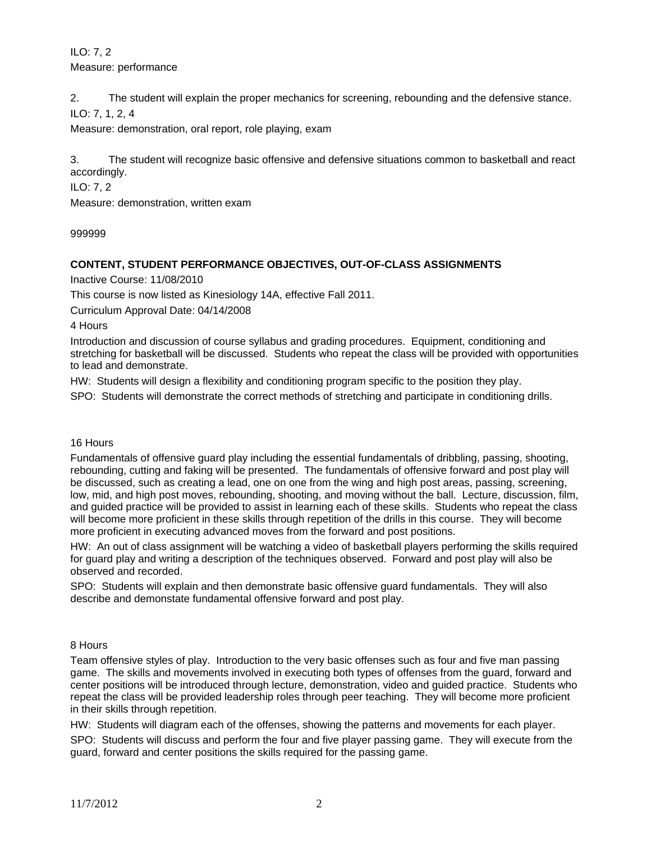ILO: 7, 2 Measure: performance

2. The student will explain the proper mechanics for screening, rebounding and the defensive stance. ILO: 7, 1, 2, 4

Measure: demonstration, oral report, role playing, exam

3. The student will recognize basic offensive and defensive situations common to basketball and react accordingly.

ILO: 7, 2

Measure: demonstration, written exam

999999

## **CONTENT, STUDENT PERFORMANCE OBJECTIVES, OUT-OF-CLASS ASSIGNMENTS**

Inactive Course: 11/08/2010

This course is now listed as Kinesiology 14A, effective Fall 2011.

Curriculum Approval Date: 04/14/2008

4 Hours

Introduction and discussion of course syllabus and grading procedures. Equipment, conditioning and stretching for basketball will be discussed. Students who repeat the class will be provided with opportunities to lead and demonstrate.

HW: Students will design a flexibility and conditioning program specific to the position they play.

SPO: Students will demonstrate the correct methods of stretching and participate in conditioning drills.

#### 16 Hours

Fundamentals of offensive guard play including the essential fundamentals of dribbling, passing, shooting, rebounding, cutting and faking will be presented. The fundamentals of offensive forward and post play will be discussed, such as creating a lead, one on one from the wing and high post areas, passing, screening, low, mid, and high post moves, rebounding, shooting, and moving without the ball. Lecture, discussion, film, and guided practice will be provided to assist in learning each of these skills. Students who repeat the class will become more proficient in these skills through repetition of the drills in this course. They will become more proficient in executing advanced moves from the forward and post positions.

HW: An out of class assignment will be watching a video of basketball players performing the skills required for guard play and writing a description of the techniques observed. Forward and post play will also be observed and recorded.

SPO: Students will explain and then demonstrate basic offensive guard fundamentals. They will also describe and demonstate fundamental offensive forward and post play.

#### 8 Hours

Team offensive styles of play. Introduction to the very basic offenses such as four and five man passing game. The skills and movements involved in executing both types of offenses from the guard, forward and center positions will be introduced through lecture, demonstration, video and guided practice. Students who repeat the class will be provided leadership roles through peer teaching. They will become more proficient in their skills through repetition.

HW: Students will diagram each of the offenses, showing the patterns and movements for each player.

SPO: Students will discuss and perform the four and five player passing game. They will execute from the guard, forward and center positions the skills required for the passing game.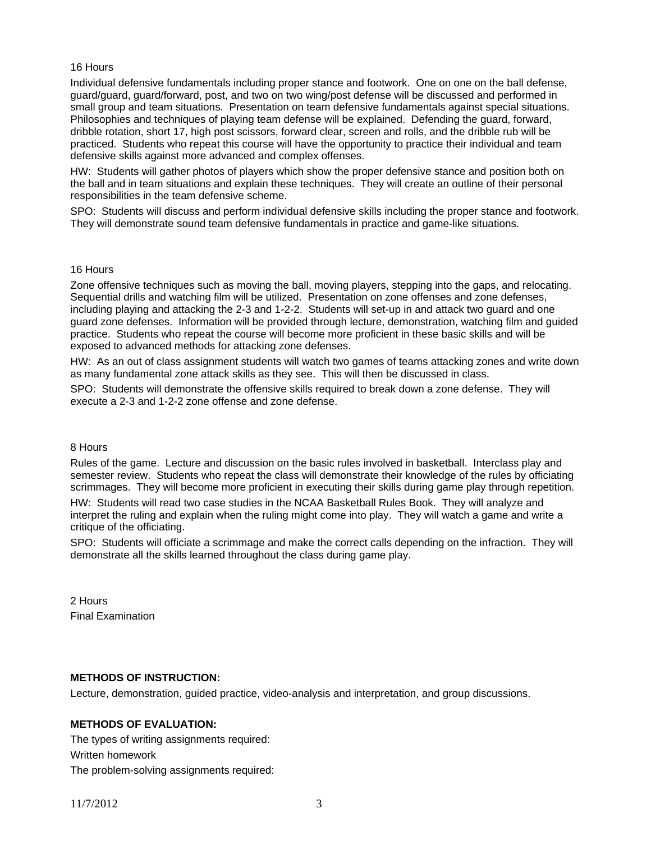#### 16 Hours

Individual defensive fundamentals including proper stance and footwork. One on one on the ball defense, guard/guard, guard/forward, post, and two on two wing/post defense will be discussed and performed in small group and team situations. Presentation on team defensive fundamentals against special situations. Philosophies and techniques of playing team defense will be explained. Defending the guard, forward, dribble rotation, short 17, high post scissors, forward clear, screen and rolls, and the dribble rub will be practiced. Students who repeat this course will have the opportunity to practice their individual and team defensive skills against more advanced and complex offenses.

HW: Students will gather photos of players which show the proper defensive stance and position both on the ball and in team situations and explain these techniques. They will create an outline of their personal responsibilities in the team defensive scheme.

SPO: Students will discuss and perform individual defensive skills including the proper stance and footwork. They will demonstrate sound team defensive fundamentals in practice and game-like situations.

#### 16 Hours

Zone offensive techniques such as moving the ball, moving players, stepping into the gaps, and relocating. Sequential drills and watching film will be utilized. Presentation on zone offenses and zone defenses, including playing and attacking the 2-3 and 1-2-2. Students will set-up in and attack two guard and one guard zone defenses. Information will be provided through lecture, demonstration, watching film and guided practice. Students who repeat the course will become more proficient in these basic skills and will be exposed to advanced methods for attacking zone defenses.

HW: As an out of class assignment students will watch two games of teams attacking zones and write down as many fundamental zone attack skills as they see. This will then be discussed in class.

SPO: Students will demonstrate the offensive skills required to break down a zone defense. They will execute a 2-3 and 1-2-2 zone offense and zone defense.

#### 8 Hours

Rules of the game. Lecture and discussion on the basic rules involved in basketball. Interclass play and semester review. Students who repeat the class will demonstrate their knowledge of the rules by officiating scrimmages. They will become more proficient in executing their skills during game play through repetition. HW: Students will read two case studies in the NCAA Basketball Rules Book. They will analyze and interpret the ruling and explain when the ruling might come into play. They will watch a game and write a critique of the officiating.

SPO: Students will officiate a scrimmage and make the correct calls depending on the infraction. They will demonstrate all the skills learned throughout the class during game play.

2 Hours Final Examination

## **METHODS OF INSTRUCTION:**

Lecture, demonstration, guided practice, video-analysis and interpretation, and group discussions.

## **METHODS OF EVALUATION:**

The types of writing assignments required: Written homework The problem-solving assignments required: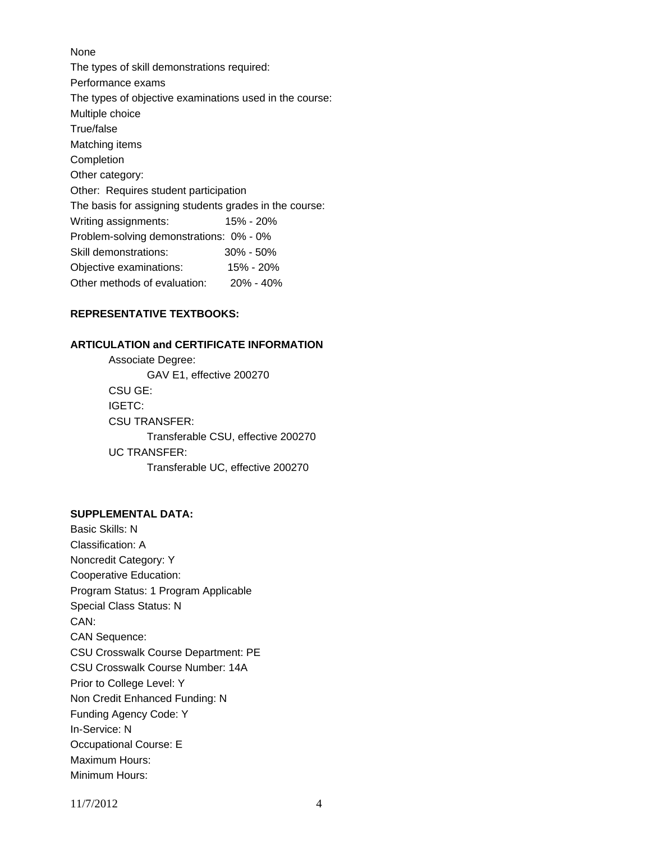# None The types of skill demonstrations required: Performance exams The types of objective examinations used in the course: Multiple choice True/false Matching items **Completion** Other category: Other: Requires student participation The basis for assigning students grades in the course: Writing assignments: 15% - 20% Problem-solving demonstrations: 0% - 0% Skill demonstrations: 30% - 50% Objective examinations: 15% - 20% Other methods of evaluation: 20% - 40%

## **REPRESENTATIVE TEXTBOOKS:**

## **ARTICULATION and CERTIFICATE INFORMATION**

 Associate Degree: GAV E1, effective 200270 CSU GE: IGETC: CSU TRANSFER: Transferable CSU, effective 200270 UC TRANSFER: Transferable UC, effective 200270

## **SUPPLEMENTAL DATA:**

Basic Skills: N Classification: A Noncredit Category: Y Cooperative Education: Program Status: 1 Program Applicable Special Class Status: N CAN: CAN Sequence: CSU Crosswalk Course Department: PE CSU Crosswalk Course Number: 14A Prior to College Level: Y Non Credit Enhanced Funding: N Funding Agency Code: Y In-Service: N Occupational Course: E Maximum Hours: Minimum Hours:

11/7/2012 4